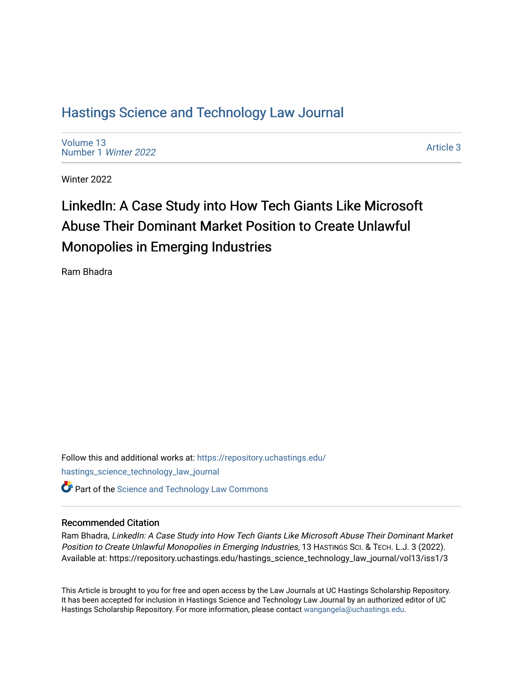# [Hastings Science and Technology Law Journal](https://repository.uchastings.edu/hastings_science_technology_law_journal)

[Volume 13](https://repository.uchastings.edu/hastings_science_technology_law_journal/vol13) [Number 1](https://repository.uchastings.edu/hastings_science_technology_law_journal/vol13/iss1) Winter 2022

[Article 3](https://repository.uchastings.edu/hastings_science_technology_law_journal/vol13/iss1/3) 

Winter 2022

# LinkedIn: A Case Study into How Tech Giants Like Microsoft Abuse Their Dominant Market Position to Create Unlawful Monopolies in Emerging Industries

Ram Bhadra

Follow this and additional works at: [https://repository.uchastings.edu/](https://repository.uchastings.edu/hastings_science_technology_law_journal?utm_source=repository.uchastings.edu%2Fhastings_science_technology_law_journal%2Fvol13%2Fiss1%2F3&utm_medium=PDF&utm_campaign=PDFCoverPages) [hastings\\_science\\_technology\\_law\\_journal](https://repository.uchastings.edu/hastings_science_technology_law_journal?utm_source=repository.uchastings.edu%2Fhastings_science_technology_law_journal%2Fvol13%2Fiss1%2F3&utm_medium=PDF&utm_campaign=PDFCoverPages) 

# **C** Part of the [Science and Technology Law Commons](http://network.bepress.com/hgg/discipline/875?utm_source=repository.uchastings.edu%2Fhastings_science_technology_law_journal%2Fvol13%2Fiss1%2F3&utm_medium=PDF&utm_campaign=PDFCoverPages)

### Recommended Citation

Ram Bhadra, LinkedIn: A Case Study into How Tech Giants Like Microsoft Abuse Their Dominant Market Position to Create Unlawful Monopolies in Emerging Industries, 13 HASTINGS SCI. & TECH. L.J. 3 (2022). Available at: https://repository.uchastings.edu/hastings\_science\_technology\_law\_journal/vol13/iss1/3

This Article is brought to you for free and open access by the Law Journals at UC Hastings Scholarship Repository. It has been accepted for inclusion in Hastings Science and Technology Law Journal by an authorized editor of UC Hastings Scholarship Repository. For more information, please contact [wangangela@uchastings.edu.](mailto:wangangela@uchastings.edu)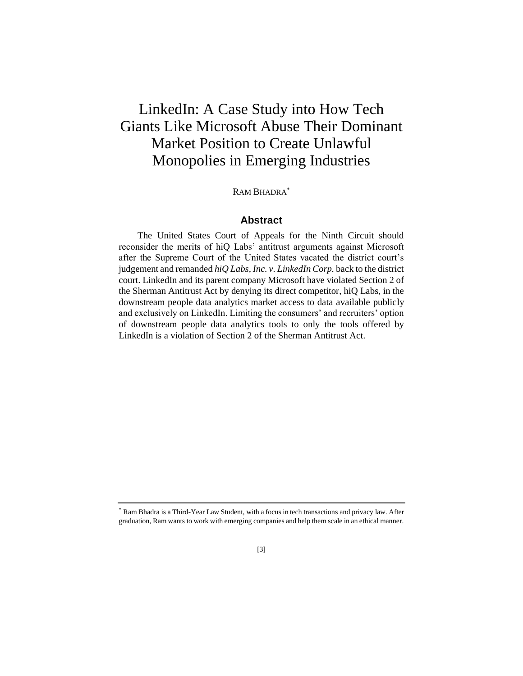# LinkedIn: A Case Study into How Tech Giants Like Microsoft Abuse Their Dominant Market Position to Create Unlawful Monopolies in Emerging Industries

### RAM BHADRA<sup>\*</sup>

## **Abstract**

The United States Court of Appeals for the Ninth Circuit should reconsider the merits of hiQ Labs' antitrust arguments against Microsoft after the Supreme Court of the United States vacated the district court's judgement and remanded *hiQ Labs, Inc. v. LinkedIn Corp.* back to the district court. LinkedIn and its parent company Microsoft have violated Section 2 of the Sherman Antitrust Act by denying its direct competitor, hiQ Labs, in the downstream people data analytics market access to data available publicly and exclusively on LinkedIn. Limiting the consumers' and recruiters' option of downstream people data analytics tools to only the tools offered by LinkedIn is a violation of Section 2 of the Sherman Antitrust Act.

<sup>\*</sup> Ram Bhadra is a Third-Year Law Student, with a focus in tech transactions and privacy law. After graduation, Ram wants to work with emerging companies and help them scale in an ethical manner.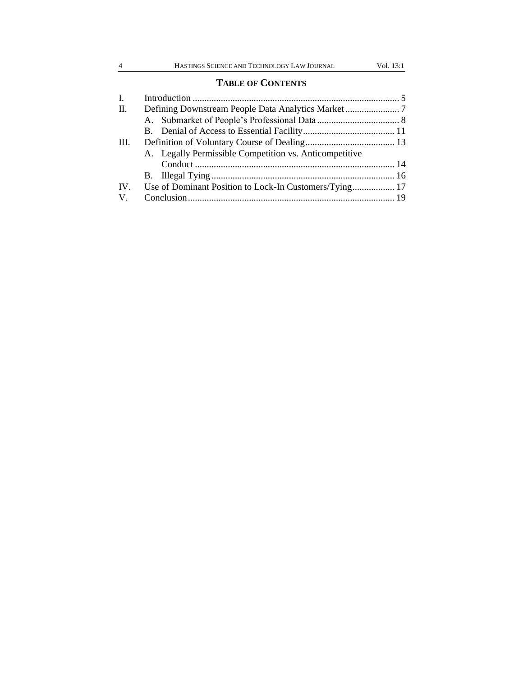# **TABLE OF CONTENTS**

| I.      |                                                        |  |
|---------|--------------------------------------------------------|--|
| II.     |                                                        |  |
|         |                                                        |  |
|         |                                                        |  |
| Ш.      |                                                        |  |
|         | A. Legally Permissible Competition vs. Anticompetitive |  |
|         |                                                        |  |
|         |                                                        |  |
| IV.     |                                                        |  |
| $V_{.}$ |                                                        |  |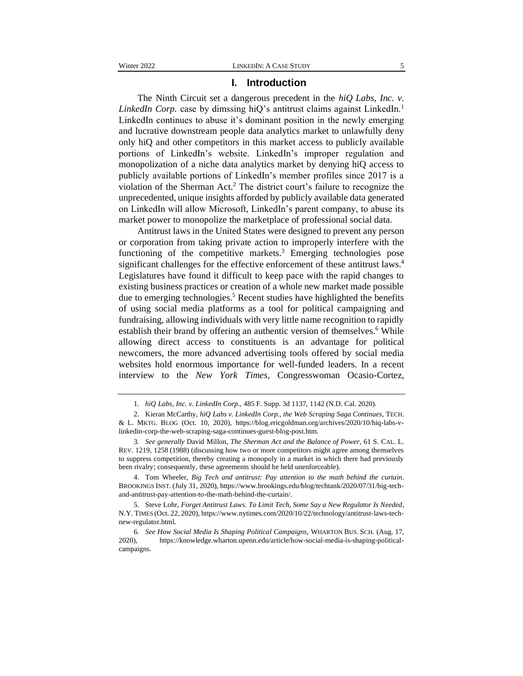#### **I. Introduction**

The Ninth Circuit set a dangerous precedent in the *hiQ Labs, Inc. v. LinkedIn Corp.* case by dimssing hiQ's antitrust claims against LinkedIn.<sup>1</sup> LinkedIn continues to abuse it's dominant position in the newly emerging and lucrative downstream people data analytics market to unlawfully deny only hiQ and other competitors in this market access to publicly available portions of LinkedIn's website. LinkedIn's improper regulation and monopolization of a niche data analytics market by denying hiQ access to publicly available portions of LinkedIn's member profiles since 2017 is a violation of the Sherman Act.<sup>2</sup> The district court's failure to recognize the unprecedented, unique insights afforded by publicly available data generated on LinkedIn will allow Microsoft, LinkedIn's parent company, to abuse its market power to monopolize the marketplace of professional social data.

Antitrust laws in the United States were designed to prevent any person or corporation from taking private action to improperly interfere with the functioning of the competitive markets.<sup>3</sup> Emerging technologies pose significant challenges for the effective enforcement of these antitrust laws.<sup>4</sup> Legislatures have found it difficult to keep pace with the rapid changes to existing business practices or creation of a whole new market made possible due to emerging technologies.<sup>5</sup> Recent studies have highlighted the benefits of using social media platforms as a tool for political campaigning and fundraising, allowing individuals with very little name recognition to rapidly establish their brand by offering an authentic version of themselves.<sup>6</sup> While allowing direct access to constituents is an advantage for political newcomers, the more advanced advertising tools offered by social media websites hold enormous importance for well-funded leaders. In a recent interview to the *New York Times*, Congresswoman Ocasio-Cortez,

4. Tom Wheeler, *Big Tech and antitrust: Pay attention to the math behind the curtain*. BROOKINGS INST. (July 31, 2020), https://www.brookings.edu/blog/techtank/2020/07/31/big-techand-antitrust-pay-attention-to-the-math-behind-the-curtain/.

<sup>1</sup>*. hiQ Labs, Inc. v. LinkedIn Corp.*, 485 F. Supp. 3d 1137, 1142 (N.D. Cal. 2020).

<sup>2.</sup> Kieran McCarthy, *hiQ Labs v. LinkedIn Corp., the Web Scraping Saga Continues*, TECH. & L. MKTG. BLOG (Oct. 10, 2020), https://blog.ericgoldman.org/archives/2020/10/hiq-labs-vlinkedin-corp-the-web-scraping-saga-continues-guest-blog-post.htm.

<sup>3</sup>*. See generally* David Millon, *The Sherman Act and the Balance of Power*, 61 S. CAL. L. REV. 1219, 1258 (1988) (discussing how two or more competitors might agree among themselves to suppress competition, thereby creating a monopoly in a market in which there had previously been rivalry; consequently, these agreements should be held unenforceable).

<sup>5.</sup> Steve Lohr, *Forget Antitrust Laws. To Limit Tech, Some Say a New Regulator Is Needed*, N.Y. TIMES (Oct. 22, 2020), https://www.nytimes.com/2020/10/22/technology/antitrust-laws-technew-regulator.html.

<sup>6</sup>*. See How Social Media Is Shaping Political Campaigns*, WHARTON BUS. SCH. (Aug. 17, 2020), https://knowledge.wharton.upenn.edu/article/how-social-media-is-shaping-politicalcampaigns.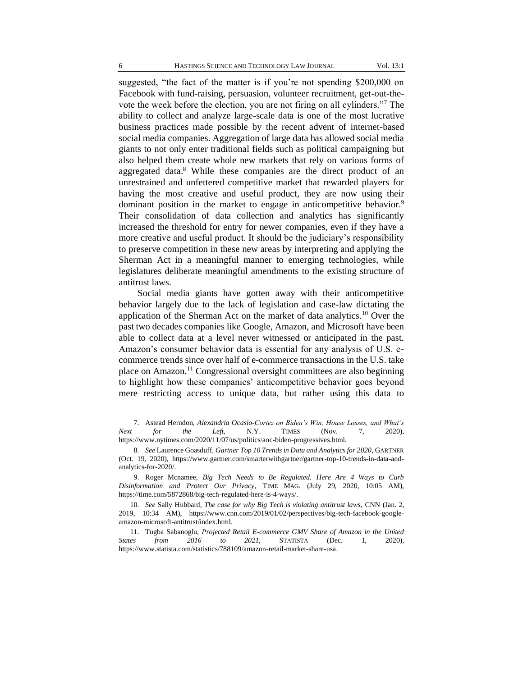suggested, "the fact of the matter is if you're not spending \$200,000 on Facebook with fund-raising, persuasion, volunteer recruitment, get-out-thevote the week before the election, you are not firing on all cylinders."<sup>7</sup> The ability to collect and analyze large-scale data is one of the most lucrative business practices made possible by the recent advent of internet-based social media companies. Aggregation of large data has allowed social media giants to not only enter traditional fields such as political campaigning but also helped them create whole new markets that rely on various forms of aggregated data.<sup>8</sup> While these companies are the direct product of an unrestrained and unfettered competitive market that rewarded players for having the most creative and useful product, they are now using their dominant position in the market to engage in anticompetitive behavior.<sup>9</sup> Their consolidation of data collection and analytics has significantly increased the threshold for entry for newer companies, even if they have a more creative and useful product. It should be the judiciary's responsibility to preserve competition in these new areas by interpreting and applying the Sherman Act in a meaningful manner to emerging technologies, while legislatures deliberate meaningful amendments to the existing structure of antitrust laws.

Social media giants have gotten away with their anticompetitive behavior largely due to the lack of legislation and case-law dictating the application of the Sherman Act on the market of data analytics.<sup>10</sup> Over the past two decades companies like Google, Amazon, and Microsoft have been able to collect data at a level never witnessed or anticipated in the past. Amazon's consumer behavior data is essential for any analysis of U.S. ecommerce trends since over half of e-commerce transactions in the U.S. take place on Amazon.<sup>11</sup> Congressional oversight committees are also beginning to highlight how these companies' anticompetitive behavior goes beyond mere restricting access to unique data, but rather using this data to

<sup>7.</sup> Astead Herndon, *Alexandria Ocasio-Cortez on Biden's Win, House Losses, and What's Next for the Left*, N.Y. TIMES (Nov. 7, 2020), https://www.nytimes.com/2020/11/07/us/politics/aoc-biden-progressives.html.

<sup>8</sup>*. See* Laurence Goasduff, *Gartner Top 10 Trends in Data and Analytics for 2020*, GARTNER (Oct. 19, 2020), https://www.gartner.com/smarterwithgartner/gartner-top-10-trends-in-data-andanalytics-for-2020/.

<sup>9.</sup> Roger Mcnamee, *Big Tech Needs to Be Regulated. Here Are 4 Ways to Curb Disinformation and Protect Our Privacy*, TIME MAG. (July 29, 2020, 10:05 AM), https://time.com/5872868/big-tech-regulated-here-is-4-ways/.

<sup>10</sup>*. See* Sally Hubbard, *The case for why Big Tech is violating antitrust laws*, CNN (Jan. 2, 2019, 10:34 AM), https://www.cnn.com/2019/01/02/perspectives/big-tech-facebook-googleamazon-microsoft-antitrust/index.html.

<sup>11.</sup> Tugba Sabanoglu, *Projected Retail E-commerce GMV Share of Amazon in the United States from 2016 to 2021,* STATISTA (Dec. 1, 2020), https://www.statista.com/statistics/788109/amazon-retail-market-share-usa.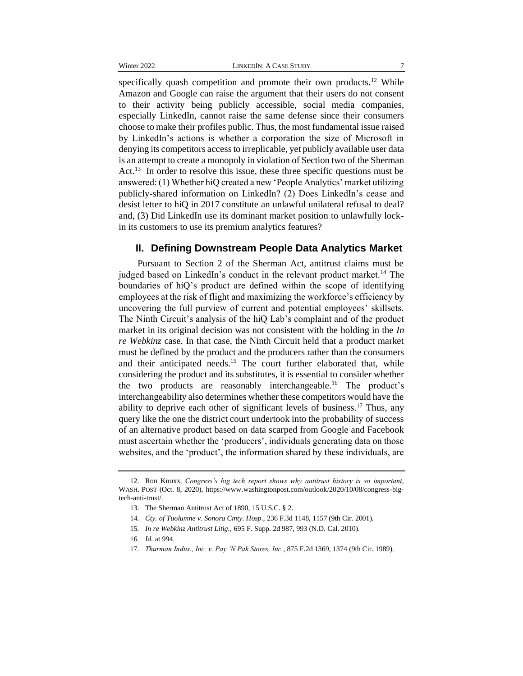specifically quash competition and promote their own products.<sup>12</sup> While Amazon and Google can raise the argument that their users do not consent to their activity being publicly accessible, social media companies, especially LinkedIn, cannot raise the same defense since their consumers choose to make their profiles public. Thus, the most fundamental issue raised by LinkedIn's actions is whether a corporation the size of Microsoft in denying its competitors access to irreplicable, yet publicly available user data is an attempt to create a monopoly in violation of Section two of the Sherman Act.<sup>13</sup> In order to resolve this issue, these three specific questions must be answered: (1) Whether hiQ created a new 'People Analytics' market utilizing publicly-shared information on LinkedIn? (2) Does LinkedIn's cease and desist letter to hiQ in 2017 constitute an unlawful unilateral refusal to deal? and, (3) Did LinkedIn use its dominant market position to unlawfully lockin its customers to use its premium analytics features?

### **II. Defining Downstream People Data Analytics Market**

Pursuant to Section 2 of the Sherman Act, antitrust claims must be judged based on LinkedIn's conduct in the relevant product market.<sup>14</sup> The boundaries of hiQ's product are defined within the scope of identifying employees at the risk of flight and maximizing the workforce's efficiency by uncovering the full purview of current and potential employees' skillsets. The Ninth Circuit's analysis of the hiQ Lab's complaint and of the product market in its original decision was not consistent with the holding in the *In re Webkinz* case. In that case, the Ninth Circuit held that a product market must be defined by the product and the producers rather than the consumers and their anticipated needs.<sup>15</sup> The court further elaborated that, while considering the product and its substitutes, it is essential to consider whether the two products are reasonably interchangeable.<sup>16</sup> The product's interchangeability also determines whether these competitors would have the ability to deprive each other of significant levels of business.<sup>17</sup> Thus, any query like the one the district court undertook into the probability of success of an alternative product based on data scarped from Google and Facebook must ascertain whether the 'producers', individuals generating data on those websites, and the 'product', the information shared by these individuals, are

<sup>12.</sup> Ron Knoxx, *Congress's big tech report shows why antitrust history is so important*, WASH. POST (Oct. 8, 2020), https://www.washingtonpost.com/outlook/2020/10/08/congress-bigtech-anti-trust/.

<sup>13.</sup> The Sherman Antitrust Act of 1890, 15 U.S.C. § 2.

<sup>14</sup>*. Cty. of Tuolumne v. Sonora Cmty. Hosp.,* 236 F.3d 1148, 1157 (9th Cir. 2001).

<sup>15</sup>*. In re Webkinz Antitrust Litig.*, 695 F. Supp. 2d 987, 993 (N.D. Cal. 2010).

<sup>16</sup>*. Id.* at 994.

<sup>17</sup>*. Thurman Indus., Inc. v. Pay 'N Pak Stores, Inc.*, 875 F.2d 1369, 1374 (9th Cir. 1989).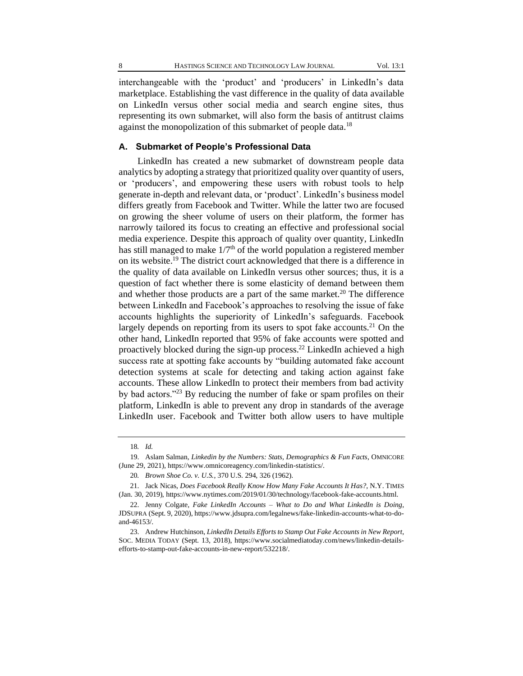interchangeable with the 'product' and 'producers' in LinkedIn's data marketplace. Establishing the vast difference in the quality of data available on LinkedIn versus other social media and search engine sites, thus representing its own submarket, will also form the basis of antitrust claims against the monopolization of this submarket of people data.<sup>18</sup>

#### **A. Submarket of People's Professional Data**

LinkedIn has created a new submarket of downstream people data analytics by adopting a strategy that prioritized quality over quantity of users, or 'producers', and empowering these users with robust tools to help generate in-depth and relevant data, or 'product'. LinkedIn's business model differs greatly from Facebook and Twitter. While the latter two are focused on growing the sheer volume of users on their platform, the former has narrowly tailored its focus to creating an effective and professional social media experience. Despite this approach of quality over quantity, LinkedIn has still managed to make  $1/7<sup>th</sup>$  of the world population a registered member on its website.<sup>19</sup> The district court acknowledged that there is a difference in the quality of data available on LinkedIn versus other sources; thus, it is a question of fact whether there is some elasticity of demand between them and whether those products are a part of the same market.<sup>20</sup> The difference between LinkedIn and Facebook's approaches to resolving the issue of fake accounts highlights the superiority of LinkedIn's safeguards. Facebook largely depends on reporting from its users to spot fake accounts.<sup>21</sup> On the other hand, LinkedIn reported that 95% of fake accounts were spotted and proactively blocked during the sign-up process.<sup>22</sup> LinkedIn achieved a high success rate at spotting fake accounts by "building automated fake account detection systems at scale for detecting and taking action against fake accounts. These allow LinkedIn to protect their members from bad activity by bad actors."<sup>23</sup> By reducing the number of fake or spam profiles on their platform, LinkedIn is able to prevent any drop in standards of the average LinkedIn user. Facebook and Twitter both allow users to have multiple

<sup>18</sup>*. Id.*

<sup>19.</sup> Aslam Salman, *Linkedin by the Numbers: Stats, Demographics & Fun Facts*, OMNICORE (June 29, 2021), https://www.omnicoreagency.com/linkedin-statistics/.

<sup>20</sup>*. Brown Shoe Co. v. U.S.*, 370 U.S. 294, 326 (1962).

<sup>21.</sup> Jack Nicas, *Does Facebook Really Know How Many Fake Accounts It Has?*, N.Y. TIMES (Jan. 30, 2019), https://www.nytimes.com/2019/01/30/technology/facebook-fake-accounts.html.

<sup>22.</sup> Jenny Colgate, *Fake LinkedIn Accounts – What to Do and What LinkedIn is Doing*, JDSUPRA (Sept. 9, 2020), https://www.jdsupra.com/legalnews/fake-linkedin-accounts-what-to-doand-46153/.

<sup>23.</sup> Andrew Hutchinson, *LinkedIn Details Efforts to Stamp Out Fake Accounts in New Report*, SOC. MEDIA TODAY (Sept. 13, 2018), https://www.socialmediatoday.com/news/linkedin-detailsefforts-to-stamp-out-fake-accounts-in-new-report/532218/.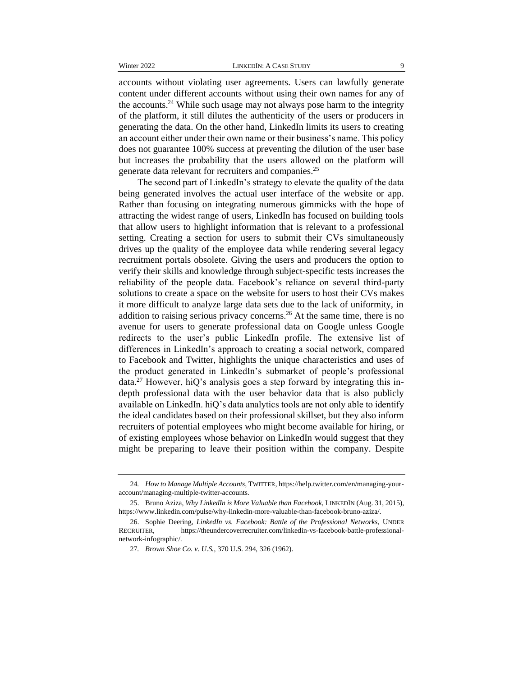accounts without violating user agreements. Users can lawfully generate content under different accounts without using their own names for any of the accounts.<sup>24</sup> While such usage may not always pose harm to the integrity of the platform, it still dilutes the authenticity of the users or producers in generating the data. On the other hand, LinkedIn limits its users to creating an account either under their own name or their business's name. This policy does not guarantee 100% success at preventing the dilution of the user base but increases the probability that the users allowed on the platform will generate data relevant for recruiters and companies.<sup>25</sup>

The second part of LinkedIn's strategy to elevate the quality of the data being generated involves the actual user interface of the website or app. Rather than focusing on integrating numerous gimmicks with the hope of attracting the widest range of users, LinkedIn has focused on building tools that allow users to highlight information that is relevant to a professional setting. Creating a section for users to submit their CVs simultaneously drives up the quality of the employee data while rendering several legacy recruitment portals obsolete. Giving the users and producers the option to verify their skills and knowledge through subject-specific tests increases the reliability of the people data. Facebook's reliance on several third-party solutions to create a space on the website for users to host their CVs makes it more difficult to analyze large data sets due to the lack of uniformity, in addition to raising serious privacy concerns.<sup>26</sup> At the same time, there is no avenue for users to generate professional data on Google unless Google redirects to the user's public LinkedIn profile. The extensive list of differences in LinkedIn's approach to creating a social network, compared to Facebook and Twitter, highlights the unique characteristics and uses of the product generated in LinkedIn's submarket of people's professional  $data<sup>27</sup>$  However, hiQ's analysis goes a step forward by integrating this indepth professional data with the user behavior data that is also publicly available on LinkedIn. hiQ's data analytics tools are not only able to identify the ideal candidates based on their professional skillset, but they also inform recruiters of potential employees who might become available for hiring, or of existing employees whose behavior on LinkedIn would suggest that they might be preparing to leave their position within the company. Despite

<sup>24</sup>*. How to Manage Multiple Accounts*, TWITTER, https://help.twitter.com/en/managing-youraccount/managing-multiple-twitter-accounts.

<sup>25.</sup> Bruno Aziza, *Why LinkedIn is More Valuable than Facebook*, LINKEDIN (Aug. 31, 2015), https://www.linkedin.com/pulse/why-linkedin-more-valuable-than-facebook-bruno-aziza/.

<sup>26.</sup> Sophie Deering, *LinkedIn vs. Facebook: Battle of the Professional Networks*, UNDER RECRUITER, https://theundercoverrecruiter.com/linkedin-vs-facebook-battle-professionalnetwork-infographic/.

<sup>27</sup>*. Brown Shoe Co. v. U.S.*, 370 U.S. 294, 326 (1962).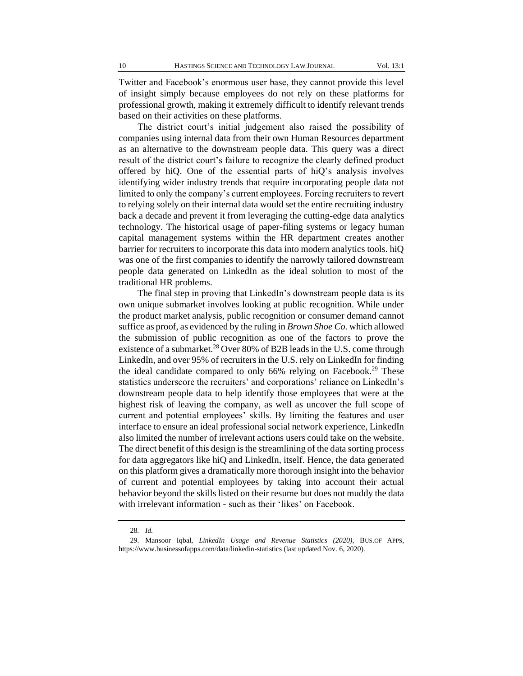Twitter and Facebook's enormous user base, they cannot provide this level of insight simply because employees do not rely on these platforms for professional growth, making it extremely difficult to identify relevant trends based on their activities on these platforms.

The district court's initial judgement also raised the possibility of companies using internal data from their own Human Resources department as an alternative to the downstream people data. This query was a direct result of the district court's failure to recognize the clearly defined product offered by hiQ. One of the essential parts of hiQ's analysis involves identifying wider industry trends that require incorporating people data not limited to only the company's current employees. Forcing recruiters to revert to relying solely on their internal data would set the entire recruiting industry back a decade and prevent it from leveraging the cutting-edge data analytics technology. The historical usage of paper-filing systems or legacy human capital management systems within the HR department creates another barrier for recruiters to incorporate this data into modern analytics tools. hiQ was one of the first companies to identify the narrowly tailored downstream people data generated on LinkedIn as the ideal solution to most of the traditional HR problems.

The final step in proving that LinkedIn's downstream people data is its own unique submarket involves looking at public recognition. While under the product market analysis, public recognition or consumer demand cannot suffice as proof, as evidenced by the ruling in *Brown Shoe Co.* which allowed the submission of public recognition as one of the factors to prove the existence of a submarket.<sup>28</sup> Over 80% of B2B leads in the U.S. come through LinkedIn, and over 95% of recruiters in the U.S. rely on LinkedIn for finding the ideal candidate compared to only  $66\%$  relying on Facebook.<sup>29</sup> These statistics underscore the recruiters' and corporations' reliance on LinkedIn's downstream people data to help identify those employees that were at the highest risk of leaving the company, as well as uncover the full scope of current and potential employees' skills. By limiting the features and user interface to ensure an ideal professional social network experience, LinkedIn also limited the number of irrelevant actions users could take on the website. The direct benefit of this design is the streamlining of the data sorting process for data aggregators like hiQ and LinkedIn, itself. Hence, the data generated on this platform gives a dramatically more thorough insight into the behavior of current and potential employees by taking into account their actual behavior beyond the skills listed on their resume but does not muddy the data with irrelevant information - such as their 'likes' on Facebook.

<sup>28</sup>*. Id.*

<sup>29.</sup> Mansoor Iqbal, *LinkedIn Usage and Revenue Statistics (2020)*, BUS.OF APPS, https://www.businessofapps.com/data/linkedin-statistics (last updated Nov. 6, 2020).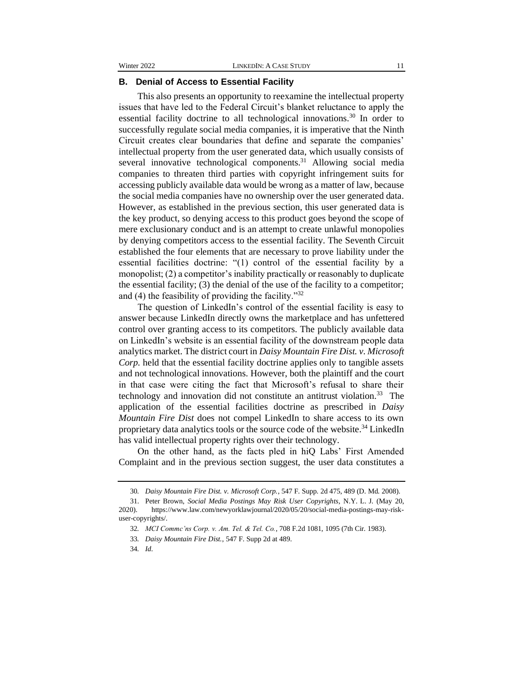#### **B. Denial of Access to Essential Facility**

This also presents an opportunity to reexamine the intellectual property issues that have led to the Federal Circuit's blanket reluctance to apply the essential facility doctrine to all technological innovations.<sup>30</sup> In order to successfully regulate social media companies, it is imperative that the Ninth Circuit creates clear boundaries that define and separate the companies' intellectual property from the user generated data, which usually consists of several innovative technological components.<sup>31</sup> Allowing social media companies to threaten third parties with copyright infringement suits for accessing publicly available data would be wrong as a matter of law, because the social media companies have no ownership over the user generated data. However, as established in the previous section, this user generated data is the key product, so denying access to this product goes beyond the scope of mere exclusionary conduct and is an attempt to create unlawful monopolies by denying competitors access to the essential facility. The Seventh Circuit established the four elements that are necessary to prove liability under the essential facilities doctrine: "(1) control of the essential facility by a monopolist; (2) a competitor's inability practically or reasonably to duplicate the essential facility; (3) the denial of the use of the facility to a competitor; and (4) the feasibility of providing the facility."<sup>32</sup>

The question of LinkedIn's control of the essential facility is easy to answer because LinkedIn directly owns the marketplace and has unfettered control over granting access to its competitors. The publicly available data on LinkedIn's website is an essential facility of the downstream people data analytics market. The district court in *Daisy Mountain Fire Dist. v. Microsoft Corp.* held that the essential facility doctrine applies only to tangible assets and not technological innovations. However, both the plaintiff and the court in that case were citing the fact that Microsoft's refusal to share their technology and innovation did not constitute an antitrust violation.<sup>33</sup> The application of the essential facilities doctrine as prescribed in *Daisy Mountain Fire Dist* does not compel LinkedIn to share access to its own proprietary data analytics tools or the source code of the website.<sup>34</sup> LinkedIn has valid intellectual property rights over their technology.

On the other hand, as the facts pled in hiQ Labs' First Amended Complaint and in the previous section suggest, the user data constitutes a

<sup>30</sup>*. Daisy Mountain Fire Dist. v. Microsoft Corp.*, 547 F. Supp. 2d 475, 489 (D. Md. 2008).

<sup>31.</sup> Peter Brown, *Social Media Postings May Risk User Copyrights*, N.Y. L. J. (May 20, 2020). https://www.law.com/newyorklawjournal/2020/05/20/social-media-postings-may-riskuser-copyrights/.

<sup>32</sup>*. MCI Commc'ns Corp. v. Am. Tel. & Tel. Co.*, 708 F.2d 1081, 1095 (7th Cir. 1983).

<sup>33</sup>*. Daisy Mountain Fire Dist.*, 547 F. Supp 2d at 489.

<sup>34</sup>*. Id*.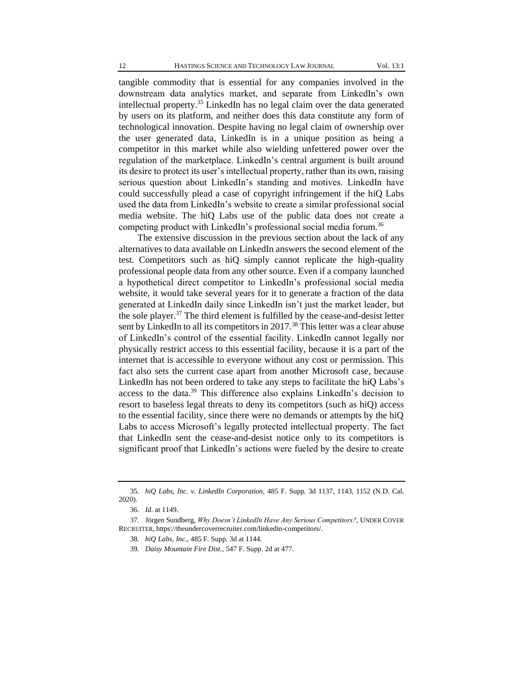tangible commodity that is essential for any companies involved in the downstream data analytics market, and separate from LinkedIn's own intellectual property.<sup>35</sup> LinkedIn has no legal claim over the data generated by users on its platform, and neither does this data constitute any form of technological innovation. Despite having no legal claim of ownership over the user generated data, LinkedIn is in a unique position as being a competitor in this market while also wielding unfettered power over the regulation of the marketplace. LinkedIn's central argument is built around its desire to protect its user's intellectual property, rather than its own, raising serious question about LinkedIn's standing and motives. LinkedIn have could successfully plead a case of copyright infringement if the hiQ Labs used the data from LinkedIn's website to create a similar professional social media website. The hiQ Labs use of the public data does not create a competing product with LinkedIn's professional social media forum.<sup>36</sup>

The extensive discussion in the previous section about the lack of any alternatives to data available on LinkedIn answers the second element of the test. Competitors such as hiQ simply cannot replicate the high-quality professional people data from any other source. Even if a company launched a hypothetical direct competitor to LinkedIn's professional social media website, it would take several years for it to generate a fraction of the data generated at LinkedIn daily since LinkedIn isn't just the market leader, but the sole player.<sup>37</sup> The third element is fulfilled by the cease-and-desist letter sent by LinkedIn to all its competitors in 2017.<sup>38</sup> This letter was a clear abuse of LinkedIn's control of the essential facility. LinkedIn cannot legally nor physically restrict access to this essential facility, because it is a part of the internet that is accessible to everyone without any cost or permission. This fact also sets the current case apart from another Microsoft case, because LinkedIn has not been ordered to take any steps to facilitate the hiQ Labs's access to the data.<sup>39</sup> This difference also explains LinkedIn's decision to resort to baseless legal threats to deny its competitors (such as hiQ) access to the essential facility, since there were no demands or attempts by the hiQ Labs to access Microsoft's legally protected intellectual property. The fact that LinkedIn sent the cease-and-desist notice only to its competitors is significant proof that LinkedIn's actions were fueled by the desire to create

<sup>35</sup>*. hiQ Labs, Inc. v. LinkedIn Corporation*, 485 F. Supp. 3d 1137, 1143, 1152 (N.D. Cal. 2020).

<sup>36.</sup> *Id*. at 1149.

<sup>37.</sup> Jörgen Sundberg, *Why Doesn't LinkedIn Have Any Serious Competitors?*, UNDER COVER RECRUITER, https://theundercoverrecruiter.com/linkedin-competitors/.

<sup>38</sup>*. hiQ Labs, Inc*., 485 F. Supp. 3d at 1144.

<sup>39</sup>*. Daisy Mountain Fire Dist.*, 547 F. Supp. 2d at 477.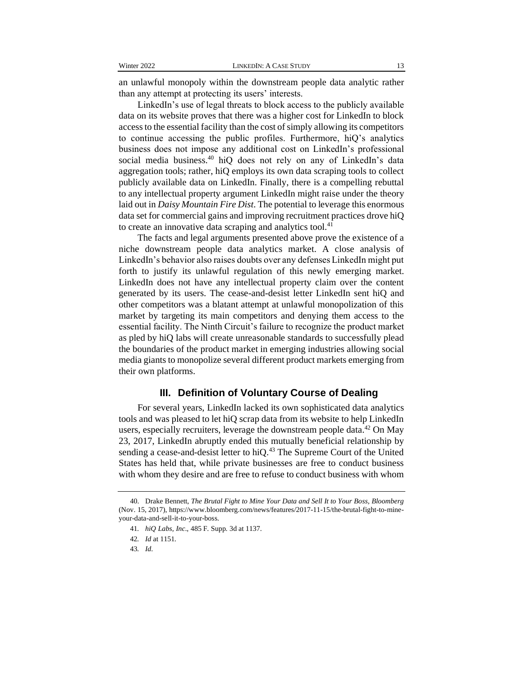an unlawful monopoly within the downstream people data analytic rather than any attempt at protecting its users' interests.

LinkedIn's use of legal threats to block access to the publicly available data on its website proves that there was a higher cost for LinkedIn to block access to the essential facility than the cost of simply allowing its competitors to continue accessing the public profiles. Furthermore, hiQ's analytics business does not impose any additional cost on LinkedIn's professional social media business.<sup>40</sup> hiQ does not rely on any of LinkedIn's data aggregation tools; rather, hiQ employs its own data scraping tools to collect publicly available data on LinkedIn. Finally, there is a compelling rebuttal to any intellectual property argument LinkedIn might raise under the theory laid out in *Daisy Mountain Fire Dist*. The potential to leverage this enormous data set for commercial gains and improving recruitment practices drove hiQ to create an innovative data scraping and analytics tool. $41$ 

The facts and legal arguments presented above prove the existence of a niche downstream people data analytics market. A close analysis of LinkedIn's behavior also raises doubts over any defenses LinkedIn might put forth to justify its unlawful regulation of this newly emerging market. LinkedIn does not have any intellectual property claim over the content generated by its users. The cease-and-desist letter LinkedIn sent hiQ and other competitors was a blatant attempt at unlawful monopolization of this market by targeting its main competitors and denying them access to the essential facility. The Ninth Circuit's failure to recognize the product market as pled by hiQ labs will create unreasonable standards to successfully plead the boundaries of the product market in emerging industries allowing social media giants to monopolize several different product markets emerging from their own platforms.

#### **III. Definition of Voluntary Course of Dealing**

For several years, LinkedIn lacked its own sophisticated data analytics tools and was pleased to let hiQ scrap data from its website to help LinkedIn users, especially recruiters, leverage the downstream people data. $42$  On May 23, 2017, LinkedIn abruptly ended this mutually beneficial relationship by sending a cease-and-desist letter to hiQ.<sup>43</sup> The Supreme Court of the United States has held that, while private businesses are free to conduct business with whom they desire and are free to refuse to conduct business with whom

<sup>40.</sup> Drake Bennett, *The Brutal Fight to Mine Your Data and Sell It to Your Boss, Bloomberg* (Nov. 15, 2017), https://www.bloomberg.com/news/features/2017-11-15/the-brutal-fight-to-mineyour-data-and-sell-it-to-your-boss.

<sup>41</sup>*. hiQ Labs, Inc*., 485 F. Supp. 3d at 1137.

<sup>42</sup>*. Id* at 1151*.*

<sup>43</sup>*. Id*.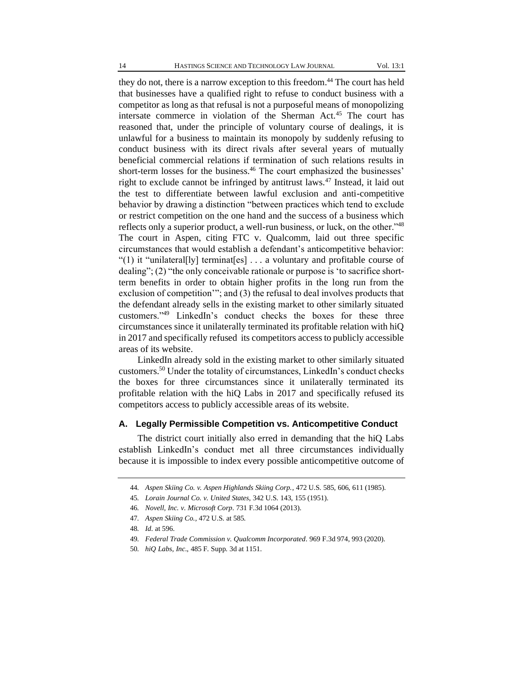they do not, there is a narrow exception to this freedom. <sup>44</sup> The court has held that businesses have a qualified right to refuse to conduct business with a competitor as long as that refusal is not a purposeful means of monopolizing intersate commerce in violation of the Sherman Act.<sup>45</sup> The court has reasoned that, under the principle of voluntary course of dealings, it is unlawful for a business to maintain its monopoly by suddenly refusing to conduct business with its direct rivals after several years of mutually beneficial commercial relations if termination of such relations results in short-term losses for the business.<sup>46</sup> The court emphasized the businesses' right to exclude cannot be infringed by antitrust laws.<sup>47</sup> Instead, it laid out the test to differentiate between lawful exclusion and anti-competitive behavior by drawing a distinction "between practices which tend to exclude or restrict competition on the one hand and the success of a business which reflects only a superior product, a well-run business, or luck, on the other."<sup>48</sup> The court in Aspen, citing FTC v. Qualcomm, laid out three specific circumstances that would establish a defendant's anticompetitive behavior: "(1) it "unilateral[ly] terminat[es] . . . a voluntary and profitable course of dealing"; (2) "the only conceivable rationale or purpose is 'to sacrifice shortterm benefits in order to obtain higher profits in the long run from the exclusion of competition'"; and (3) the refusal to deal involves products that the defendant already sells in the existing market to other similarly situated customers."<sup>49</sup> LinkedIn's conduct checks the boxes for these three circumstances since it unilaterally terminated its profitable relation with hiQ in 2017 and specifically refused its competitors access to publicly accessible areas of its website.

LinkedIn already sold in the existing market to other similarly situated customers.<sup>50</sup> Under the totality of circumstances, LinkedIn's conduct checks the boxes for three circumstances since it unilaterally terminated its profitable relation with the hiQ Labs in 2017 and specifically refused its competitors access to publicly accessible areas of its website.

#### **A. Legally Permissible Competition vs. Anticompetitive Conduct**

The district court initially also erred in demanding that the hiQ Labs establish LinkedIn's conduct met all three circumstances individually because it is impossible to index every possible anticompetitive outcome of

<sup>44</sup>*. Aspen Skiing Co. v. Aspen Highlands Skiing Corp.*, 472 U.S. 585, 606, 611 (1985).

<sup>45</sup>*. Lorain Journal Co. v. United States*, 342 U.S. 143, 155 (1951).

<sup>46</sup>*. Novell, Inc. v. Microsoft Corp*. 731 F.3d 1064 (2013).

<sup>47</sup>*. Aspen Skiing Co.,* 472 U.S. at 585*.*

<sup>48</sup>*. Id*. at 596.

<sup>49</sup>*. Federal Trade Commission v. Qualcomm Incorporated*. 969 F.3d 974, 993 (2020).

<sup>50</sup>*. hiQ Labs, Inc*., 485 F. Supp. 3d at 1151.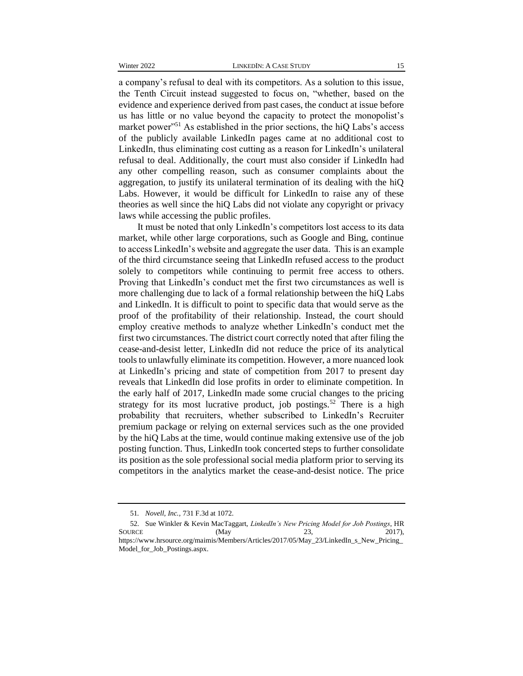a company's refusal to deal with its competitors. As a solution to this issue, the Tenth Circuit instead suggested to focus on, "whether, based on the evidence and experience derived from past cases, the conduct at issue before us has little or no value beyond the capacity to protect the monopolist's market power"<sup>51</sup> As established in the prior sections, the hiQ Labs's access of the publicly available LinkedIn pages came at no additional cost to LinkedIn, thus eliminating cost cutting as a reason for LinkedIn's unilateral refusal to deal. Additionally, the court must also consider if LinkedIn had any other compelling reason, such as consumer complaints about the aggregation, to justify its unilateral termination of its dealing with the hiQ Labs. However, it would be difficult for LinkedIn to raise any of these theories as well since the hiQ Labs did not violate any copyright or privacy laws while accessing the public profiles.

It must be noted that only LinkedIn's competitors lost access to its data market, while other large corporations, such as Google and Bing, continue to access LinkedIn's website and aggregate the user data. This is an example of the third circumstance seeing that LinkedIn refused access to the product solely to competitors while continuing to permit free access to others. Proving that LinkedIn's conduct met the first two circumstances as well is more challenging due to lack of a formal relationship between the hiQ Labs and LinkedIn. It is difficult to point to specific data that would serve as the proof of the profitability of their relationship. Instead, the court should employ creative methods to analyze whether LinkedIn's conduct met the first two circumstances. The district court correctly noted that after filing the cease-and-desist letter, LinkedIn did not reduce the price of its analytical tools to unlawfully eliminate its competition. However, a more nuanced look at LinkedIn's pricing and state of competition from 2017 to present day reveals that LinkedIn did lose profits in order to eliminate competition. In the early half of 2017, LinkedIn made some crucial changes to the pricing strategy for its most lucrative product, job postings.<sup>52</sup> There is a high probability that recruiters, whether subscribed to LinkedIn's Recruiter premium package or relying on external services such as the one provided by the hiQ Labs at the time, would continue making extensive use of the job posting function. Thus, LinkedIn took concerted steps to further consolidate its position as the sole professional social media platform prior to serving its competitors in the analytics market the cease-and-desist notice. The price

<sup>51</sup>*. Novell, Inc.,* 731 F.3d at 1072.

<sup>52.</sup> Sue Winkler & Kevin MacTaggart, *LinkedIn's New Pricing Model for Job Postings*, HR SOURCE (May 23, 2017), [https://www.hrsource.org/maimis/Members/Articles/2017/05/May\\_23/LinkedIn\\_s\\_New\\_Pricing\\_](https://www.hrsource.org/maimis/Members/Articles/2017/05/May_23/LinkedIn_s_New_Pricing_Model_for_Job_Postings.aspx) [Model\\_for\\_Job\\_Postings.aspx.](https://www.hrsource.org/maimis/Members/Articles/2017/05/May_23/LinkedIn_s_New_Pricing_Model_for_Job_Postings.aspx)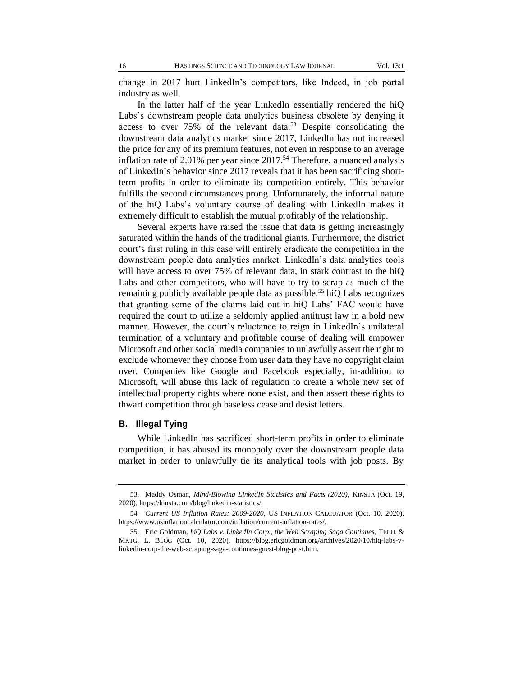change in 2017 hurt LinkedIn's competitors, like Indeed, in job portal industry as well.

In the latter half of the year LinkedIn essentially rendered the hiQ Labs's downstream people data analytics business obsolete by denying it access to over  $75\%$  of the relevant data.<sup>53</sup> Despite consolidating the downstream data analytics market since 2017, LinkedIn has not increased the price for any of its premium features, not even in response to an average inflation rate of 2.01% per year since  $2017<sup>54</sup>$  Therefore, a nuanced analysis of LinkedIn's behavior since 2017 reveals that it has been sacrificing shortterm profits in order to eliminate its competition entirely. This behavior fulfills the second circumstances prong. Unfortunately, the informal nature of the hiQ Labs's voluntary course of dealing with LinkedIn makes it extremely difficult to establish the mutual profitably of the relationship.

Several experts have raised the issue that data is getting increasingly saturated within the hands of the traditional giants. Furthermore, the district court's first ruling in this case will entirely eradicate the competition in the downstream people data analytics market. LinkedIn's data analytics tools will have access to over 75% of relevant data, in stark contrast to the hiQ Labs and other competitors, who will have to try to scrap as much of the remaining publicly available people data as possible.<sup>55</sup> hiQ Labs recognizes that granting some of the claims laid out in hiQ Labs' FAC would have required the court to utilize a seldomly applied antitrust law in a bold new manner. However, the court's reluctance to reign in LinkedIn's unilateral termination of a voluntary and profitable course of dealing will empower Microsoft and other social media companies to unlawfully assert the right to exclude whomever they choose from user data they have no copyright claim over. Companies like Google and Facebook especially, in-addition to Microsoft, will abuse this lack of regulation to create a whole new set of intellectual property rights where none exist, and then assert these rights to thwart competition through baseless cease and desist letters.

#### **B. Illegal Tying**

While LinkedIn has sacrificed short-term profits in order to eliminate competition, it has abused its monopoly over the downstream people data market in order to unlawfully tie its analytical tools with job posts. By

<sup>53.</sup> Maddy Osman, *Mind-Blowing LinkedIn Statistics and Facts (2020)*, KINSTA (Oct. 19, 2020), https://kinsta.com/blog/linkedin-statistics/.

<sup>54</sup>*. Current US Inflation Rates: 2009-2020*, US INFLATION CALCUATOR (Oct. 10, 2020), https://www.usinflationcalculator.com/inflation/current-inflation-rates/.

<sup>55.</sup> Eric Goldman, *hiQ Labs v. LinkedIn Corp., the Web Scraping Saga Continues,* TECH. & MKTG. L. BLOG (Oct. 10, 2020), https://blog.ericgoldman.org/archives/2020/10/hiq-labs-vlinkedin-corp-the-web-scraping-saga-continues-guest-blog-post.htm.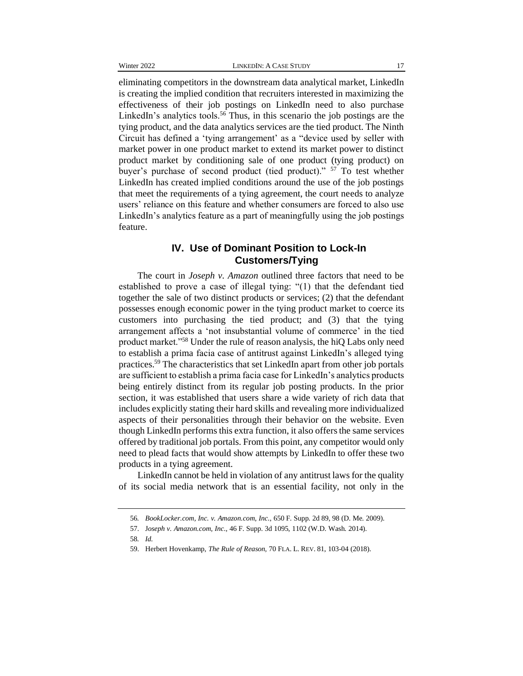eliminating competitors in the downstream data analytical market, LinkedIn is creating the implied condition that recruiters interested in maximizing the effectiveness of their job postings on LinkedIn need to also purchase LinkedIn's analytics tools.<sup>56</sup> Thus, in this scenario the job postings are the tying product, and the data analytics services are the tied product. The Ninth Circuit has defined a 'tying arrangement' as a "device used by seller with market power in one product market to extend its market power to distinct product market by conditioning sale of one product (tying product) on buyer's purchase of second product (tied product)." <sup>57</sup> To test whether LinkedIn has created implied conditions around the use of the job postings that meet the requirements of a tying agreement, the court needs to analyze users' reliance on this feature and whether consumers are forced to also use LinkedIn's analytics feature as a part of meaningfully using the job postings feature.

# **IV. Use of Dominant Position to Lock-In Customers/Tying**

The court in *Joseph v. Amazon* outlined three factors that need to be established to prove a case of illegal tying: "(1) that the defendant tied together the sale of two distinct products or services; (2) that the defendant possesses enough economic power in the tying product market to coerce its customers into purchasing the tied product; and (3) that the tying arrangement affects a 'not insubstantial volume of commerce' in the tied product market."<sup>58</sup> Under the rule of reason analysis, the hiQ Labs only need to establish a prima facia case of antitrust against LinkedIn's alleged tying practices.<sup>59</sup> The characteristics that set LinkedIn apart from other job portals are sufficient to establish a prima facia case for LinkedIn's analytics products being entirely distinct from its regular job posting products. In the prior section, it was established that users share a wide variety of rich data that includes explicitly stating their hard skills and revealing more individualized aspects of their personalities through their behavior on the website. Even though LinkedIn performs this extra function, it also offers the same services offered by traditional job portals. From this point, any competitor would only need to plead facts that would show attempts by LinkedIn to offer these two products in a tying agreement.

LinkedIn cannot be held in violation of any antitrust laws for the quality of its social media network that is an essential facility, not only in the

<sup>56</sup>*. BookLocker.com, Inc. v. Amazon.com, Inc.*, 650 F. Supp. 2d 89, 98 (D. Me. 2009).

<sup>57.</sup> J*oseph v. Amazon.com, Inc.*, 46 F. Supp. 3d 1095, 1102 (W.D. Wash. 2014).

<sup>58</sup>*. Id.*

<sup>59.</sup> Herbert Hovenkamp, *The Rule of Reason,* 70 FLA. L. REV. 81, 103-04 (2018).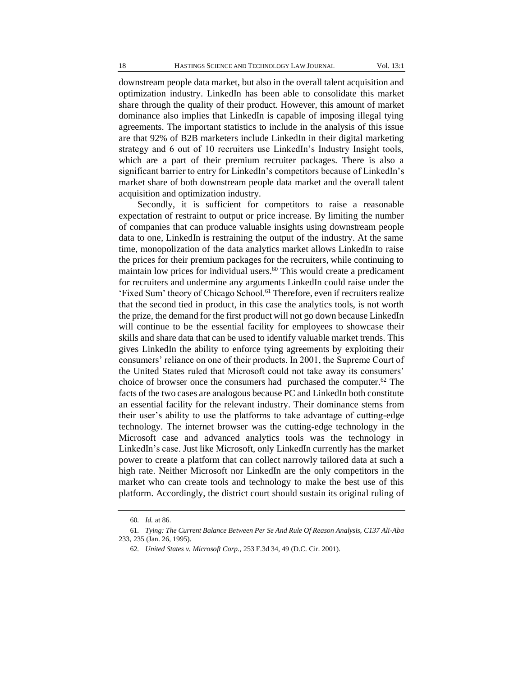downstream people data market, but also in the overall talent acquisition and optimization industry. LinkedIn has been able to consolidate this market share through the quality of their product. However, this amount of market dominance also implies that LinkedIn is capable of imposing illegal tying agreements. The important statistics to include in the analysis of this issue are that 92% of B2B marketers include LinkedIn in their digital marketing strategy and 6 out of 10 recruiters use LinkedIn's Industry Insight tools, which are a part of their premium recruiter packages. There is also a significant barrier to entry for LinkedIn's competitors because of LinkedIn's market share of both downstream people data market and the overall talent acquisition and optimization industry.

Secondly, it is sufficient for competitors to raise a reasonable expectation of restraint to output or price increase. By limiting the number of companies that can produce valuable insights using downstream people data to one, LinkedIn is restraining the output of the industry. At the same time, monopolization of the data analytics market allows LinkedIn to raise the prices for their premium packages for the recruiters, while continuing to maintain low prices for individual users.<sup>60</sup> This would create a predicament for recruiters and undermine any arguments LinkedIn could raise under the 'Fixed Sum' theory of Chicago School.<sup>61</sup> Therefore, even if recruiters realize that the second tied in product, in this case the analytics tools, is not worth the prize, the demand for the first product will not go down because LinkedIn will continue to be the essential facility for employees to showcase their skills and share data that can be used to identify valuable market trends. This gives LinkedIn the ability to enforce tying agreements by exploiting their consumers' reliance on one of their products. In 2001, the Supreme Court of the United States ruled that Microsoft could not take away its consumers' choice of browser once the consumers had purchased the computer.<sup>62</sup> The facts of the two cases are analogous because PC and LinkedIn both constitute an essential facility for the relevant industry. Their dominance stems from their user's ability to use the platforms to take advantage of cutting-edge technology. The internet browser was the cutting-edge technology in the Microsoft case and advanced analytics tools was the technology in LinkedIn's case. Just like Microsoft, only LinkedIn currently has the market power to create a platform that can collect narrowly tailored data at such a high rate. Neither Microsoft nor LinkedIn are the only competitors in the market who can create tools and technology to make the best use of this platform. Accordingly, the district court should sustain its original ruling of

<sup>60</sup>*. Id.* at 86.

<sup>61</sup>*. Tying: The Current Balance Between Per Se And Rule Of Reason Analysis, C137 Ali-Aba* 233, 235 (Jan. 26, 1995).

<sup>62</sup>*. United States v. Microsoft Corp*., 253 F.3d 34, 49 (D.C. Cir. 2001).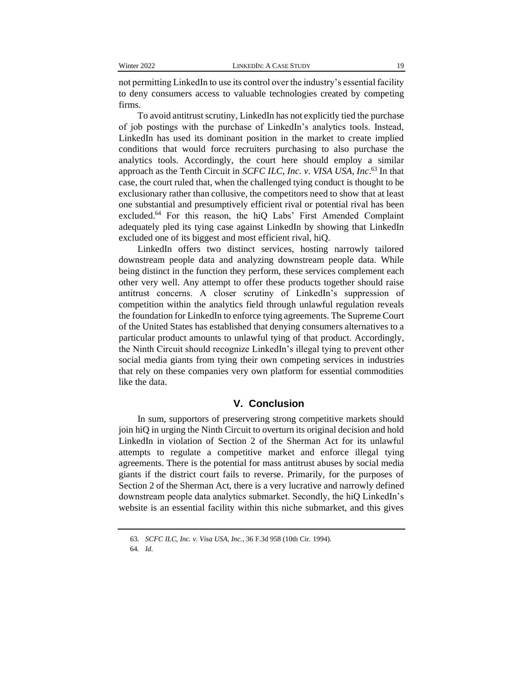not permitting LinkedIn to use its control over the industry's essential facility to deny consumers access to valuable technologies created by competing firms.

To avoid antitrust scrutiny, LinkedIn has not explicitly tied the purchase of job postings with the purchase of LinkedIn's analytics tools. Instead, LinkedIn has used its dominant position in the market to create implied conditions that would force recruiters purchasing to also purchase the analytics tools. Accordingly, the court here should employ a similar approach as the Tenth Circuit in *SCFC ILC, Inc. v. VISA USA, Inc*. <sup>63</sup> In that case, the court ruled that, when the challenged tying conduct is thought to be exclusionary rather than collusive, the competitors need to show that at least one substantial and presumptively efficient rival or potential rival has been excluded.<sup>64</sup> For this reason, the hiQ Labs' First Amended Complaint adequately pled its tying case against LinkedIn by showing that LinkedIn excluded one of its biggest and most efficient rival, hiQ.

LinkedIn offers two distinct services, hosting narrowly tailored downstream people data and analyzing downstream people data. While being distinct in the function they perform, these services complement each other very well. Any attempt to offer these products together should raise antitrust concerns. A closer scrutiny of LinkedIn's suppression of competition within the analytics field through unlawful regulation reveals the foundation for LinkedIn to enforce tying agreements. The Supreme Court of the United States has established that denying consumers alternatives to a particular product amounts to unlawful tying of that product. Accordingly, the Ninth Circuit should recognize LinkedIn's illegal tying to prevent other social media giants from tying their own competing services in industries that rely on these companies very own platform for essential commodities like the data.

### **V. Conclusion**

In sum, supportors of preservering strong competitive markets should join hiQ in urging the Ninth Circuit to overturn its original decision and hold LinkedIn in violation of Section 2 of the Sherman Act for its unlawful attempts to regulate a competitive market and enforce illegal tying agreements. There is the potential for mass antitrust abuses by social media giants if the district court fails to reverse. Primarily, for the purposes of Section 2 of the Sherman Act, there is a very lucrative and narrowly defined downstream people data analytics submarket. Secondly, the hiQ LinkedIn's website is an essential facility within this niche submarket, and this gives

<sup>63</sup>*. SCFC ILC, Inc. v. Visa USA, Inc.*, 36 F.3d 958 (10th Cir. 1994).

<sup>64</sup>*. Id*.